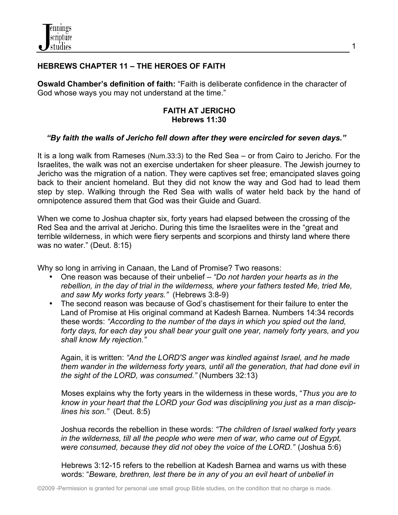

## **HEBREWS CHAPTER 11 – THE HEROES OF FAITH**

**Oswald Chamber's definition of faith:** "Faith is deliberate confidence in the character of God whose ways you may not understand at the time."

#### **FAITH AT JERICHO Hebrews 11:30**

#### *"By faith the walls of Jericho fell down after they were encircled for seven days."*

It is a long walk from Rameses (Num.33:3) to the Red Sea – or from Cairo to Jericho. For the Israelites, the walk was not an exercise undertaken for sheer pleasure. The Jewish journey to Jericho was the migration of a nation. They were captives set free; emancipated slaves going back to their ancient homeland. But they did not know the way and God had to lead them step by step. Walking through the Red Sea with walls of water held back by the hand of omnipotence assured them that God was their Guide and Guard.

When we come to Joshua chapter six, forty years had elapsed between the crossing of the Red Sea and the arrival at Jericho. During this time the Israelites were in the "great and terrible wilderness, in which were fiery serpents and scorpions and thirsty land where there was no water." (Deut. 8:15)

Why so long in arriving in Canaan, the Land of Promise? Two reasons:

- One reason was because of their unbelief *"Do not harden your hearts as in the rebellion, in the day of trial in the wilderness, where your fathers tested Me, tried Me, and saw My works forty years."* (Hebrews 3:8-9)
- The second reason was because of God's chastisement for their failure to enter the Land of Promise at His original command at Kadesh Barnea. Numbers 14:34 records these words: *"According to the number of the days in which you spied out the land, forty days, for each day you shall bear your guilt one year, namely forty years, and you shall know My rejection."*

Again, it is written: *"And the LORD'S anger was kindled against Israel, and he made them wander in the wilderness forty years, until all the generation, that had done evil in the sight of the LORD, was consumed."* (Numbers 32:13)

 Moses explains why the forty years in the wilderness in these words, "*Thus you are to know in your heart that the LORD your God was disciplining you just as a man discip lines his son."* (Deut. 8:5)

Joshua records the rebellion in these words: *"The children of Israel walked forty years in the wilderness, till all the people who were men of war, who came out of Egypt, were consumed, because they did not obey the voice of the LORD."* (Joshua 5:6)

Hebrews 3:12-15 refers to the rebellion at Kadesh Barnea and warns us with these words: "*Beware, brethren, lest there be in any of you an evil heart of unbelief in*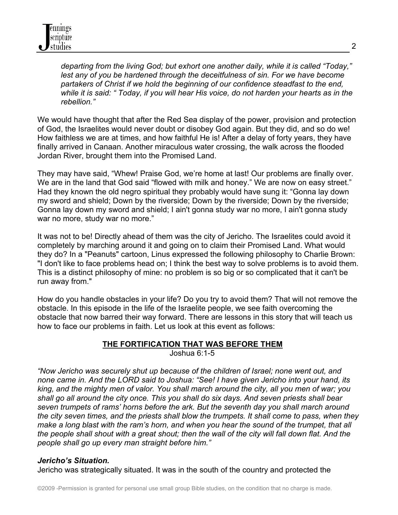*departing from the living God; but exhort one another daily, while it is called "Today,"* lest any of you be hardened through the deceitfulness of sin. For we have become *partakers of Christ if we hold the beginning of our confidence steadfast to the end, while it is said: " Today, if you will hear His voice, do not harden your hearts as in the rebellion."*

We would have thought that after the Red Sea display of the power, provision and protection of God, the Israelites would never doubt or disobey God again. But they did, and so do we! How faithless we are at times, and how faithful He is! After a delay of forty years, they have finally arrived in Canaan. Another miraculous water crossing, the walk across the flooded Jordan River, brought them into the Promised Land.

They may have said, "Whew! Praise God, we're home at last! Our problems are finally over. We are in the land that God said "flowed with milk and honey." We are now on easy street." Had they known the old negro spiritual they probably would have sung it: "Gonna lay down my sword and shield; Down by the riverside; Down by the riverside; Down by the riverside; Gonna lay down my sword and shield; I ain't gonna study war no more, I ain't gonna study war no more, study war no more."

It was not to be! Directly ahead of them was the city of Jericho. The Israelites could avoid it completely by marching around it and going on to claim their Promised Land. What would they do? In a "Peanuts" cartoon, Linus expressed the following philosophy to Charlie Brown: "I don't like to face problems head on; I think the best way to solve problems is to avoid them. This is a distinct philosophy of mine: no problem is so big or so complicated that it can't be run away from."

How do you handle obstacles in your life? Do you try to avoid them? That will not remove the obstacle. In this episode in the life of the Israelite people, we see faith overcoming the obstacle that now barred their way forward. There are lessons in this story that will teach us how to face our problems in faith. Let us look at this event as follows:

#### **THE FORTIFICATION THAT WAS BEFORE THEM** Joshua 6:1-5

*"Now Jericho was securely shut up because of the children of Israel; none went out, and none came in. And the LORD said to Joshua: "See! I have given Jericho into your hand, its king, and the mighty men of valor. You shall march around the city, all you men of war; you shall go all around the city once. This you shall do six days. And seven priests shall bear seven trumpets of rams' horns before the ark. But the seventh day you shall march around the city seven times, and the priests shall blow the trumpets. It shall come to pass, when they make a long blast with the ram's horn, and when you hear the sound of the trumpet, that all the people shall shout with a great shout; then the wall of the city will fall down flat. And the people shall go up every man straight before him."* 

# *Jericho's Situation.*

Jericho was strategically situated. It was in the south of the country and protected the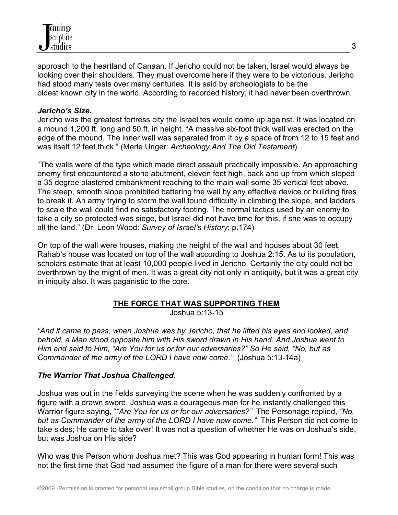

approach to the heartland of Canaan. If Jericho could not be taken, Israel would always be looking over their shoulders. They must overcome here if they were to be victorious. Jericho had stood many tests over many centuries. It is said by archeologists to be the oldest known city in the world. According to recorded history, it had never been overthrown.

#### *Jericho's Size.*

Jericho was the greatest fortress city the Israelites would come up against. It was located on a mound 1,200 ft. long and 50 ft. in height. "A massive six-foot thick wall was erected on the edge of the mound. The inner wall was separated from it by a space of from 12 to 15 feet and was itself 12 feet thick." (Merle Unger: *Archeology And The Old Testament*)

"The walls were of the type which made direct assault practically impossible. An approaching enemy first encountered a stone abutment, eleven feet high, back and up from which sloped a 35 degree plastered embankment reaching to the main wall some 35 vertical feet above. The steep, smooth slope prohibited battering the wall by any effective device or building fires to break it. An army trying to storm the wall found difficulty in climbing the slope, and ladders to scale the wall could find no satisfactory footing. The normal tactics used by an enemy to take a city so protected was siege, but Israel did not have time for this, if she was to occupy all the land." (Dr. Leon Wood: *Survey of Israel's History*; p.174)

On top of the wall were houses, making the height of the wall and houses about 30 feet. Rahab's house was located on top of the wall according to Joshua 2:15. As to its population, scholars estimate that at least 10,000 people lived in Jericho. Certainly the city could not be overthrown by the might of men. It was a great city not only in antiquity, but it was a great city in iniquity also. It was paganistic to the core.

# **THE FORCE THAT WAS SUPPORTING THEM**

Joshua 5:13-15

*"And it came to pass, when Joshua was by Jericho, that he lifted his eyes and looked, and behold, a Man stood opposite him with His sword drawn in His hand. And Joshua went to Him and said to Him, "Are You for us or for our adversaries?" So He said, "No, but as Commander of the army of the LORD I have now come."* (Joshua 5:13-14a)

#### *The Warrior That Joshua Challenged*.

Joshua was out in the fields surveying the scene when he was suddenly confronted by a figure with a drawn sword. Joshua was a courageous man for he instantly challenged this Warrior figure saying, "*"Are You for us or for our adversaries?"* The Personage replied, *"No, but as Commander of the army of the LORD I have now come."* This Person did not come to take sides; He came to take over! It was not a question of whether He was on Joshua's side, but was Joshua on His side?

Who was this Person whom Joshua met? This was God appearing in human form! This was not the first time that God had assumed the figure of a man for there were several such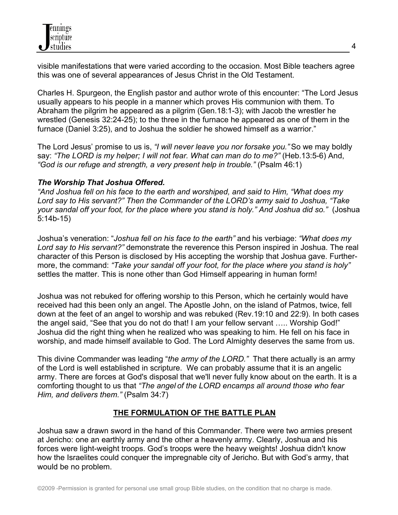visible manifestations that were varied according to the occasion. Most Bible teachers agree this was one of several appearances of Jesus Christ in the Old Testament.

Charles H. Spurgeon, the English pastor and author wrote of this encounter: "The Lord Jesus usually appears to his people in a manner which proves His communion with them. To Abraham the pilgrim he appeared as a pilgrim (Gen.18:1-3); with Jacob the wrestler he wrestled (Genesis 32:24-25); to the three in the furnace he appeared as one of them in the furnace (Daniel 3:25), and to Joshua the soldier he showed himself as a warrior."

The Lord Jesus' promise to us is, *"I will never leave you nor forsake you."* So we may boldly say: *"The LORD is my helper; I will not fear. What can man do to me?"* (Heb.13:5-6) And, *"God is our refuge and strength, a very present help in trouble."* (Psalm 46:1)

## *The Worship That Joshua Offered.*

*"And Joshua fell on his face to the earth and worshiped, and said to Him, "What does my Lord say to His servant?" Then the Commander of the LORD's army said to Joshua, "Take your sandal off your foot, for the place where you stand is holy." And Joshua did so."* (Joshua 5:14b-15)

Joshua's veneration: "*Joshua fell on his face to the earth"* and his verbiage: *"What does my Lord say to His servant?"* demonstrate the reverence this Person inspired in Joshua. The real character of this Person is disclosed by His accepting the worship that Joshua gave. Furthermore, the command: *"Take your sandal off your foot, for the place where you stand is holy"* settles the matter. This is none other than God Himself appearing in human form!

Joshua was not rebuked for offering worship to this Person, which he certainly would have received had this been only an angel. The Apostle John, on the island of Patmos, twice, fell down at the feet of an angel to worship and was rebuked (Rev.19:10 and 22:9). In both cases the angel said, "See that you do not do that! I am your fellow servant ….. Worship God!" Joshua did the right thing when he realized who was speaking to him. He fell on his face in worship, and made himself available to God. The Lord Almighty deserves the same from us.

This divine Commander was leading "*the army of the LORD."* That there actually is an army of the Lord is well established in scripture. We can probably assume that it is an angelic army. There are forces at God's disposal that we'll never fully know about on the earth. It is a comforting thought to us that *"The angel of the LORD encamps all around those who fear Him, and delivers them."* (Psalm 34:7)

# **THE FORMULATION OF THE BATTLE PLAN**

Joshua saw a drawn sword in the hand of this Commander. There were two armies present at Jericho: one an earthly army and the other a heavenly army. Clearly, Joshua and his forces were light-weight troops. God's troops were the heavy weights! Joshua didn't know how the Israelites could conquer the impregnable city of Jericho. But with God's army, that would be no problem.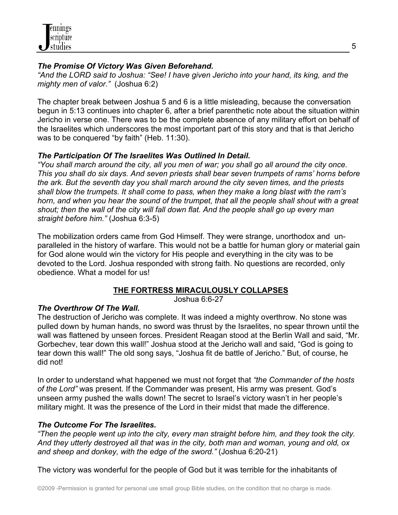

# *The Promise Of Victory Was Given Beforehand.*

*"And the LORD said to Joshua: "See! I have given Jericho into your hand, its king, and the mighty men of valor."* (Joshua 6:2)

The chapter break between Joshua 5 and 6 is a little misleading, because the conversation begun in 5:13 continues into chapter 6, after a brief parenthetic note about the situation within Jericho in verse one. There was to be the complete absence of any military effort on behalf of the Israelites which underscores the most important part of this story and that is that Jericho was to be conquered "by faith" (Heb. 11:30).

## *The Participation Of The Israelites Was Outlined In Detail.*

*"You shall march around the city, all you men of war; you shall go all around the city once. This you shall do six days. And seven priests shall bear seven trumpets of rams' horns before the ark. But the seventh day you shall march around the city seven times, and the priests shall blow the trumpets. It shall come to pass, when they make a long blast with the ram's horn, and when you hear the sound of the trumpet, that all the people shall shout with a great shout; then the wall of the city will fall down flat. And the people shall go up every man straight before him."* (Joshua 6:3-5)

The mobilization orders came from God Himself. They were strange, unorthodox and unparalleled in the history of warfare. This would not be a battle for human glory or material gain for God alone would win the victory for His people and everything in the city was to be devoted to the Lord. Joshua responded with strong faith. No questions are recorded, only obedience. What a model for us!

# **THE FORTRESS MIRACULOUSLY COLLAPSES**

Joshua 6:6-27

# *The Overthrow Of The Wall.*

The destruction of Jericho was complete. It was indeed a mighty overthrow. No stone was pulled down by human hands, no sword was thrust by the Israelites, no spear thrown until the wall was flattened by unseen forces. President Reagan stood at the Berlin Wall and said, "Mr. Gorbechev, tear down this wall!" Joshua stood at the Jericho wall and said, "God is going to tear down this wall!" The old song says, "Joshua fit de battle of Jericho." But, of course, he did not!

In order to understand what happened we must not forget that *"the Commander of the hosts of the Lord"* was present. If the Commander was present, His army was present. God's unseen army pushed the walls down! The secret to Israel's victory wasn't in her people's military might. It was the presence of the Lord in their midst that made the difference.

# *The Outcome For The Israelites.*

*"Then the people went up into the city, every man straight before him, and they took the city. And they utterly destroyed all that was in the city, both man and woman, young and old, ox and sheep and donkey, with the edge of the sword."* (Joshua 6:20-21)

The victory was wonderful for the people of God but it was terrible for the inhabitants of